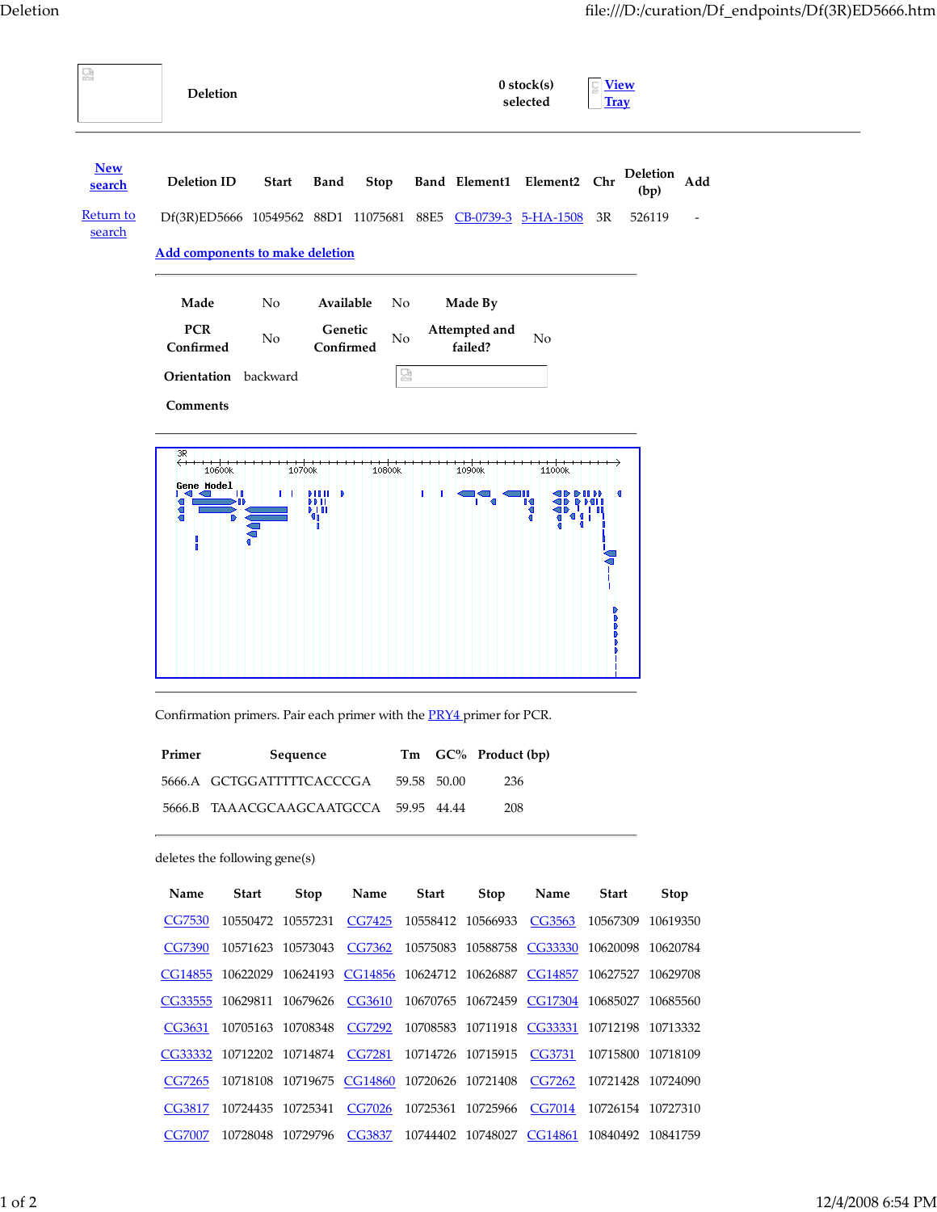| 덣                          | <b>Deletion</b>                              |                                                                                              |                                          |           |       |                                                                               | $0$ stock $(s)$<br>selected | <b>View</b><br><b>Tray</b> |                         |     |  |
|----------------------------|----------------------------------------------|----------------------------------------------------------------------------------------------|------------------------------------------|-----------|-------|-------------------------------------------------------------------------------|-----------------------------|----------------------------|-------------------------|-----|--|
| <b>New</b><br>search       | <b>Deletion ID</b>                           |                                                                                              | <b>Start</b><br>Band                     | Stop      |       | Band Element1                                                                 | Element <sub>2</sub> Chr    |                            | <b>Deletion</b><br>(bp) | Add |  |
| <u>Return to</u><br>search |                                              |                                                                                              | Df(3R)ED5666 10549562 88D1 11075681 88E5 |           |       | CB-0739-3 5-HA-1508                                                           |                             | 3R                         | 526119                  |     |  |
|                            | <b>Add components to make deletion</b>       |                                                                                              |                                          |           |       |                                                                               |                             |                            |                         |     |  |
|                            | Made                                         | No                                                                                           |                                          | Available | No    | Made By                                                                       |                             |                            |                         |     |  |
|                            | <b>PCR</b>                                   |                                                                                              |                                          | Genetic   |       | Attempted and                                                                 |                             |                            |                         |     |  |
|                            | Confirmed                                    | No                                                                                           |                                          | Confirmed | No    | failed?                                                                       | No                          |                            |                         |     |  |
|                            |                                              | Orientation backward                                                                         |                                          |           | 덣     |                                                                               |                             |                            |                         |     |  |
|                            | Comments                                     |                                                                                              |                                          |           |       |                                                                               |                             |                            |                         |     |  |
|                            | 3R                                           |                                                                                              |                                          |           |       |                                                                               |                             |                            |                         |     |  |
|                            | <b>Gene Model</b>                            | 10600k                                                                                       | 10700k                                   | 10800k    |       | 10900k                                                                        | 11000k                      |                            |                         |     |  |
|                            |                                              |                                                                                              | иш<br>99 H<br>鼎                          |           | ı.    |                                                                               |                             |                            |                         |     |  |
|                            | ł                                            |                                                                                              |                                          |           |       |                                                                               |                             |                            |                         |     |  |
|                            |                                              |                                                                                              |                                          |           |       |                                                                               |                             |                            |                         |     |  |
|                            |                                              |                                                                                              |                                          |           |       |                                                                               |                             |                            |                         |     |  |
|                            |                                              |                                                                                              |                                          |           |       |                                                                               |                             |                            |                         |     |  |
|                            |                                              |                                                                                              |                                          |           |       |                                                                               |                             |                            |                         |     |  |
|                            |                                              |                                                                                              |                                          |           |       |                                                                               |                             |                            |                         |     |  |
|                            |                                              |                                                                                              |                                          |           |       | Confirmation primers. Pair each primer with the <b>PRY4</b> primer for PCR.   |                             |                            |                         |     |  |
|                            |                                              | Tm GC% Product (bp)<br>Primer<br>Sequence<br>5666.A GCTGGATTTTTCACCCGA<br>59.58 50.00<br>236 |                                          |           |       |                                                                               |                             |                            |                         |     |  |
|                            |                                              |                                                                                              |                                          |           |       |                                                                               |                             |                            |                         |     |  |
|                            | 5666.B TAAACGCAAGCAATGCCA 59.95 44.44<br>208 |                                                                                              |                                          |           |       |                                                                               |                             |                            |                         |     |  |
|                            |                                              |                                                                                              |                                          |           |       |                                                                               |                             |                            |                         |     |  |
|                            |                                              | deletes the following gene(s)                                                                |                                          |           |       |                                                                               |                             |                            |                         |     |  |
|                            | Name                                         | <b>Start</b>                                                                                 | <b>Stop</b>                              | Name      | Start | Stop                                                                          | Name                        | Start                      | <b>Stop</b>             |     |  |
|                            | CG7530                                       |                                                                                              | 10550472 10557231                        |           |       | CG7425 10558412 10566933 CG3563                                               |                             | 10567309 10619350          |                         |     |  |
|                            | <b>CG7390</b>                                |                                                                                              |                                          |           |       | 10571623 10573043 CG7362 10575083 10588758 CG33330 10620098 10620784          |                             |                            |                         |     |  |
|                            |                                              |                                                                                              |                                          |           |       | CG14855 10622029 10624193 CG14856 10624712 10626887 CG14857 10627527 10629708 |                             |                            |                         |     |  |
|                            |                                              |                                                                                              |                                          |           |       | CG33555 10629811 10679626 CG3610 10670765 10672459 CG17304 10685027 10685560  |                             |                            |                         |     |  |
|                            | CG3631                                       |                                                                                              |                                          |           |       | 10705163 10708348 CG7292 10708583 10711918 CG33331 10712198 10713332          |                             |                            |                         |     |  |
|                            |                                              |                                                                                              |                                          |           |       | CG33332 10712202 10714874 CG7281 10714726 10715915 CG3731 10715800 10718109   |                             |                            |                         |     |  |
|                            | CG7265                                       |                                                                                              |                                          |           |       | 10718108 10719675 CG14860 10720626 10721408 CG7262                            |                             | 10721428 10724090          |                         |     |  |
|                            | CG3817                                       |                                                                                              |                                          |           |       | 10724435 10725341 CG7026 10725361 10725966 CG7014 10726154 10727310           |                             |                            |                         |     |  |
|                            |                                              |                                                                                              |                                          |           |       | CG7007 10728048 10729796 CG3837 10744402 10748027 CG14861 10840492 10841759   |                             |                            |                         |     |  |